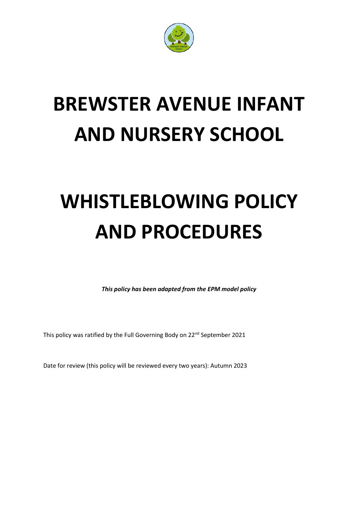

# **BREWSTER AVENUE INFANT AND NURSERY SCHOOL**

# **WHISTLEBLOWING POLICY AND PROCEDURES**

*This policy has been adapted from the EPM model policy*

This policy was ratified by the Full Governing Body on 22<sup>nd</sup> September 2021

Date for review (this policy will be reviewed every two years): Autumn 2023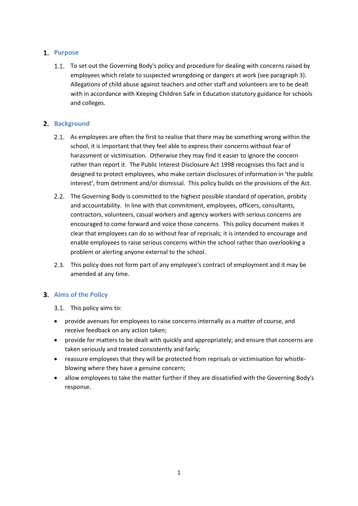# 1. Purpose

1.1. To set out the Governing Body's policy and procedure for dealing with concerns raised by employees which relate to suspected wrongdoing or dangers at work (see paragraph 3). Allegations of child abuse against teachers and other staff and volunteers are to be dealt with in accordance with Keeping Children Safe in Education statutory guidance for schools and colleges.

# 2. **Background**

- 2.1. As employees are often the first to realise that there may be something wrong within the school, it is important that they feel able to express their concerns without fear of harassment or victimisation. Otherwise they may find it easier to ignore the concern rather than report it. The Public Interest Disclosure Act 1998 recognises this fact and is designed to protect employees, who make certain disclosures of information in 'the public interest', from detriment and/or dismissal. This policy builds on the provisions of the Act.
- 2.2. The Governing Body is committed to the highest possible standard of operation, probity and accountability. In line with that commitment, employees, officers, consultants, contractors, volunteers, casual workers and agency workers with serious concerns are encouraged to come forward and voice those concerns. This policy document makes it clear that employees can do so without fear of reprisals; it is intended to encourage and enable employees to raise serious concerns within the school rather than overlooking a problem or alerting anyone external to the school.
- This policy does not form part of any employee's contract of employment and it may be amended at any time.

#### **Aims of the Policy**

- 3.1. This policy aims to:
- provide avenues for employees to raise concerns internally as a matter of course, and receive feedback on any action taken;
- provide for matters to be dealt with quickly and appropriately; and ensure that concerns are taken seriously and treated consistently and fairly;
- reassure employees that they will be protected from reprisals or victimisation for whistleblowing where they have a genuine concern;
- allow employees to take the matter further if they are dissatisfied with the Governing Body's response.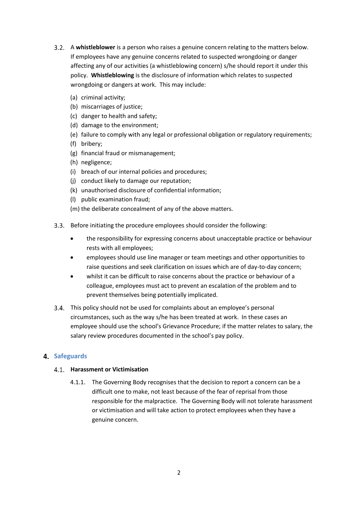- A **whistleblower** is a person who raises a genuine concern relating to the matters below. If employees have any genuine concerns related to suspected wrongdoing or danger affecting any of our activities (a whistleblowing concern) s/he should report it under this policy. **Whistleblowing** is the disclosure of information which relates to suspected wrongdoing or dangers at work. This may include:
	- (a) criminal activity;
	- (b) miscarriages of justice;
	- (c) danger to health and safety;
	- (d) damage to the environment;
	- (e) failure to comply with any legal or professional obligation or regulatory requirements;
	- (f) bribery;
	- (g) financial fraud or mismanagement;
	- (h) negligence;
	- (i) breach of our internal policies and procedures;
	- (j) conduct likely to damage our reputation;
	- (k) unauthorised disclosure of confidential information;
	- (l) public examination fraud;
	- (m) the deliberate concealment of any of the above matters.
- Before initiating the procedure employees should consider the following:
	- the responsibility for expressing concerns about unacceptable practice or behaviour rests with all employees;
	- employees should use line manager or team meetings and other opportunities to raise questions and seek clarification on issues which are of day-to-day concern;
	- whilst it can be difficult to raise concerns about the practice or behaviour of a colleague, employees must act to prevent an escalation of the problem and to prevent themselves being potentially implicated.
- This policy should not be used for complaints about an employee's personal circumstances, such as the way s/he has been treated at work. In these cases an employee should use the school's Grievance Procedure; if the matter relates to salary, the salary review procedures documented in the school's pay policy.

# **4.** Safeguards

#### **Harassment or Victimisation**

4.1.1. The Governing Body recognises that the decision to report a concern can be a difficult one to make, not least because of the fear of reprisal from those responsible for the malpractice. The Governing Body will not tolerate harassment or victimisation and will take action to protect employees when they have a genuine concern.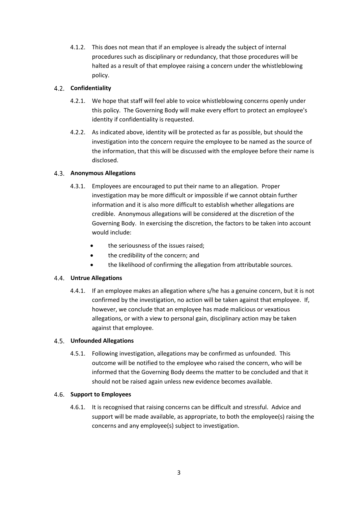4.1.2. This does not mean that if an employee is already the subject of internal procedures such as disciplinary or redundancy, that those procedures will be halted as a result of that employee raising a concern under the whistleblowing policy.

#### **Confidentiality**

- 4.2.1. We hope that staff will feel able to voice whistleblowing concerns openly under this policy. The Governing Body will make every effort to protect an employee's identity if confidentiality is requested.
- 4.2.2. As indicated above, identity will be protected as far as possible, but should the investigation into the concern require the employee to be named as the source of the information, that this will be discussed with the employee before their name is disclosed.

## **Anonymous Allegations**

- 4.3.1. Employees are encouraged to put their name to an allegation. Proper investigation may be more difficult or impossible if we cannot obtain further information and it is also more difficult to establish whether allegations are credible. Anonymous allegations will be considered at the discretion of the Governing Body. In exercising the discretion, the factors to be taken into account would include:
	- the seriousness of the issues raised;
	- the credibility of the concern; and
	- the likelihood of confirming the allegation from attributable sources.

#### **Untrue Allegations**

4.4.1. If an employee makes an allegation where s/he has a genuine concern, but it is not confirmed by the investigation, no action will be taken against that employee. If, however, we conclude that an employee has made malicious or vexatious allegations, or with a view to personal gain, disciplinary action may be taken against that employee.

#### **Unfounded Allegations**

4.5.1. Following investigation, allegations may be confirmed as unfounded. This outcome will be notified to the employee who raised the concern, who will be informed that the Governing Body deems the matter to be concluded and that it should not be raised again unless new evidence becomes available.

#### **Support to Employees**

4.6.1. It is recognised that raising concerns can be difficult and stressful. Advice and support will be made available, as appropriate, to both the employee(s) raising the concerns and any employee(s) subject to investigation.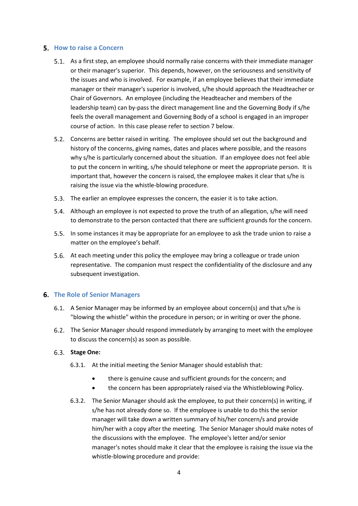#### **5.** How to raise a Concern

- 5.1. As a first step, an employee should normally raise concerns with their immediate manager or their manager's superior. This depends, however, on the seriousness and sensitivity of the issues and who is involved. For example, if an employee believes that their immediate manager or their manager's superior is involved, s/he should approach the Headteacher or Chair of Governors. An employee (including the Headteacher and members of the leadership team) can by-pass the direct management line and the Governing Body if s/he feels the overall management and Governing Body of a school is engaged in an improper course of action. In this case please refer to section 7 below.
- Concerns are better raised in writing. The employee should set out the background and history of the concerns, giving names, dates and places where possible, and the reasons why s/he is particularly concerned about the situation. If an employee does not feel able to put the concern in writing, s/he should telephone or meet the appropriate person. It is important that, however the concern is raised, the employee makes it clear that s/he is raising the issue via the whistle-blowing procedure.
- 5.3. The earlier an employee expresses the concern, the easier it is to take action.
- Although an employee is not expected to prove the truth of an allegation, s/he will need to demonstrate to the person contacted that there are sufficient grounds for the concern.
- In some instances it may be appropriate for an employee to ask the trade union to raise a matter on the employee's behalf.
- 5.6. At each meeting under this policy the employee may bring a colleague or trade union representative. The companion must respect the confidentiality of the disclosure and any subsequent investigation.

#### **The Role of Senior Managers**

- A Senior Manager may be informed by an employee about concern(s) and that s/he is "blowing the whistle" within the procedure in person; or in writing or over the phone.
- The Senior Manager should respond immediately by arranging to meet with the employee to discuss the concern(s) as soon as possible.

#### **Stage One:**

- 6.3.1. At the initial meeting the Senior Manager should establish that:
	- there is genuine cause and sufficient grounds for the concern; and
	- the concern has been appropriately raised via the Whistleblowing Policy.
- 6.3.2. The Senior Manager should ask the employee, to put their concern(s) in writing, if s/he has not already done so. If the employee is unable to do this the senior manager will take down a written summary of his/her concern/s and provide him/her with a copy after the meeting. The Senior Manager should make notes of the discussions with the employee. The employee's letter and/or senior manager's notes should make it clear that the employee is raising the issue via the whistle-blowing procedure and provide: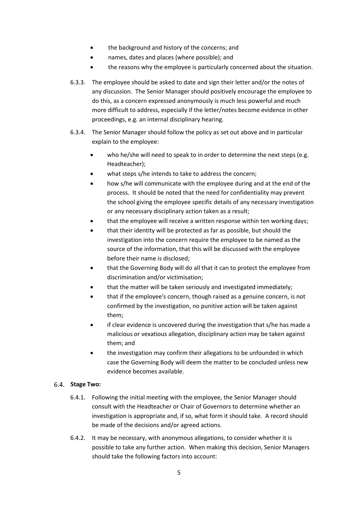- the background and history of the concerns; and
- names, dates and places (where possible); and
- the reasons why the employee is particularly concerned about the situation.
- 6.3.3. The employee should be asked to date and sign their letter and/or the notes of any discussion. The Senior Manager should positively encourage the employee to do this, as a concern expressed anonymously is much less powerful and much more difficult to address, especially if the letter/notes become evidence in other proceedings, e.g. an internal disciplinary hearing.
- 6.3.4. The Senior Manager should follow the policy as set out above and in particular explain to the employee:
	- who he/she will need to speak to in order to determine the next steps (e.g. Headteacher);
	- what steps s/he intends to take to address the concern;
	- how s/he will communicate with the employee during and at the end of the process. It should be noted that the need for confidentiality may prevent the school giving the employee specific details of any necessary investigation or any necessary disciplinary action taken as a result;
	- that the employee will receive a written response within ten working days;
	- that their identity will be protected as far as possible, but should the investigation into the concern require the employee to be named as the source of the information, that this will be discussed with the employee before their name is disclosed;
	- that the Governing Body will do all that it can to protect the employee from discrimination and/or victimisation;
	- that the matter will be taken seriously and investigated immediately;
	- that if the employee's concern, though raised as a genuine concern, is not confirmed by the investigation, no punitive action will be taken against them;
	- if clear evidence is uncovered during the investigation that s/he has made a malicious or vexatious allegation, disciplinary action may be taken against them; and
	- the investigation may confirm their allegations to be unfounded in which case the Governing Body will deem the matter to be concluded unless new evidence becomes available.

#### **Stage Two:**

- 6.4.1. Following the initial meeting with the employee, the Senior Manager should consult with the Headteacher or Chair of Governors to determine whether an investigation is appropriate and, if so, what form it should take. A record should be made of the decisions and/or agreed actions.
- 6.4.2. It may be necessary, with anonymous allegations, to consider whether it is possible to take any further action. When making this decision, Senior Managers should take the following factors into account: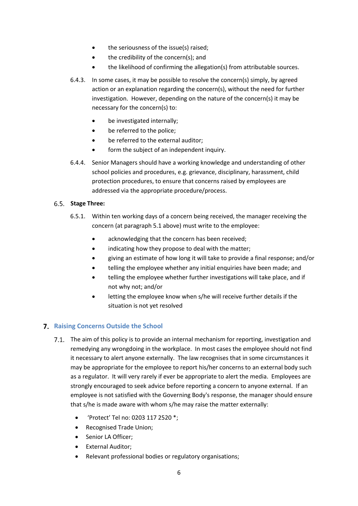- the seriousness of the issue(s) raised;
- the credibility of the concern(s); and
- the likelihood of confirming the allegation(s) from attributable sources.
- 6.4.3. In some cases, it may be possible to resolve the concern(s) simply, by agreed action or an explanation regarding the concern(s), without the need for further investigation. However, depending on the nature of the concern(s) it may be necessary for the concern(s) to:
	- be investigated internally;
	- be referred to the police;
	- be referred to the external auditor;
	- form the subject of an independent inquiry.
- 6.4.4. Senior Managers should have a working knowledge and understanding of other school policies and procedures, e.g. grievance, disciplinary, harassment, child protection procedures, to ensure that concerns raised by employees are addressed via the appropriate procedure/process.

#### **Stage Three:**

- 6.5.1. Within ten working days of a concern being received, the manager receiving the concern (at paragraph 5.1 above) must write to the employee:
	- acknowledging that the concern has been received;
	- indicating how they propose to deal with the matter;
	- giving an estimate of how long it will take to provide a final response; and/or
	- telling the employee whether any initial enquiries have been made; and
	- telling the employee whether further investigations will take place, and if not why not; and/or
	- letting the employee know when s/he will receive further details if the situation is not yet resolved

# **Raising Concerns Outside the School**

- The aim of this policy is to provide an internal mechanism for reporting, investigation and remedying any wrongdoing in the workplace. In most cases the employee should not find it necessary to alert anyone externally. The law recognises that in some circumstances it may be appropriate for the employee to report his/her concerns to an external body such as a regulator. It will very rarely if ever be appropriate to alert the media. Employees are strongly encouraged to seek advice before reporting a concern to anyone external. If an employee is not satisfied with the Governing Body's response, the manager should ensure that s/he is made aware with whom s/he may raise the matter externally:
	- 'Protect' Tel no: 0203 117 2520 \*;
	- Recognised Trade Union;
	- Senior LA Officer;
	- External Auditor;
	- Relevant professional bodies or regulatory organisations;